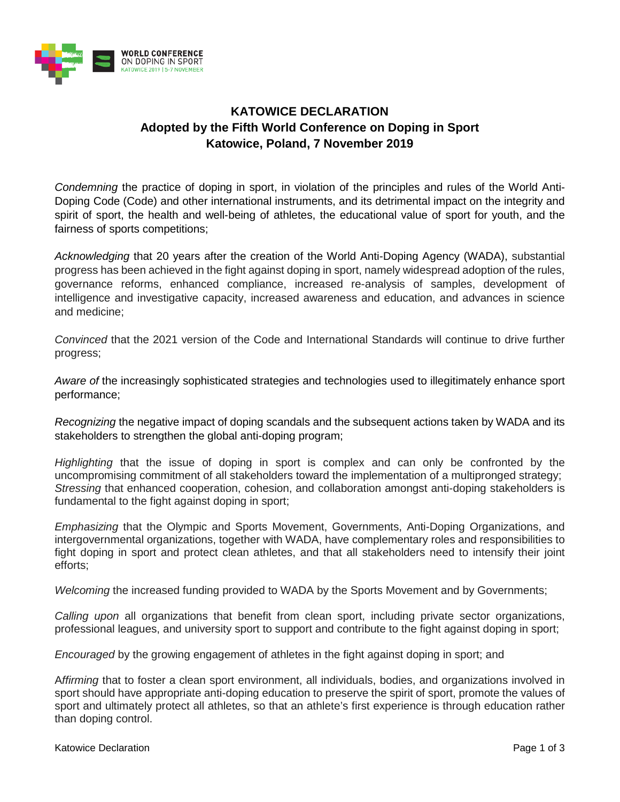

# **KATOWICE DECLARATION Adopted by the Fifth World Conference on Doping in Sport Katowice, Poland, 7 November 2019**

*Condemning* the practice of doping in sport, in violation of the principles and rules of the World Anti-Doping Code (Code) and other international instruments, and its detrimental impact on the integrity and spirit of sport, the health and well-being of athletes, the educational value of sport for youth, and the fairness of sports competitions;

*Acknowledging* that 20 years after the creation of the World Anti-Doping Agency (WADA), substantial progress has been achieved in the fight against doping in sport, namely widespread adoption of the rules, governance reforms, enhanced compliance, increased re-analysis of samples, development of intelligence and investigative capacity, increased awareness and education, and advances in science and medicine;

*Convinced* that the 2021 version of the Code and International Standards will continue to drive further progress;

*Aware of* the increasingly sophisticated strategies and technologies used to illegitimately enhance sport performance;

*Recognizing* the negative impact of doping scandals and the subsequent actions taken by WADA and its stakeholders to strengthen the global anti-doping program:

*Highlighting* that the issue of doping in sport is complex and can only be confronted by the uncompromising commitment of all stakeholders toward the implementation of a multipronged strategy; *Stressing* that enhanced cooperation, cohesion, and collaboration amongst anti-doping stakeholders is fundamental to the fight against doping in sport;

*Emphasizing* that the Olympic and Sports Movement, Governments, Anti-Doping Organizations, and intergovernmental organizations, together with WADA, have complementary roles and responsibilities to fight doping in sport and protect clean athletes, and that all stakeholders need to intensify their joint efforts;

*Welcoming* the increased funding provided to WADA by the Sports Movement and by Governments;

*Calling upon* all organizations that benefit from clean sport, including private sector organizations, professional leagues, and university sport to support and contribute to the fight against doping in sport;

*Encouraged* by the growing engagement of athletes in the fight against doping in sport; and

A*ffirming* that to foster a clean sport environment, all individuals, bodies, and organizations involved in sport should have appropriate anti-doping education to preserve the spirit of sport, promote the values of sport and ultimately protect all athletes, so that an athlete's first experience is through education rather than doping control.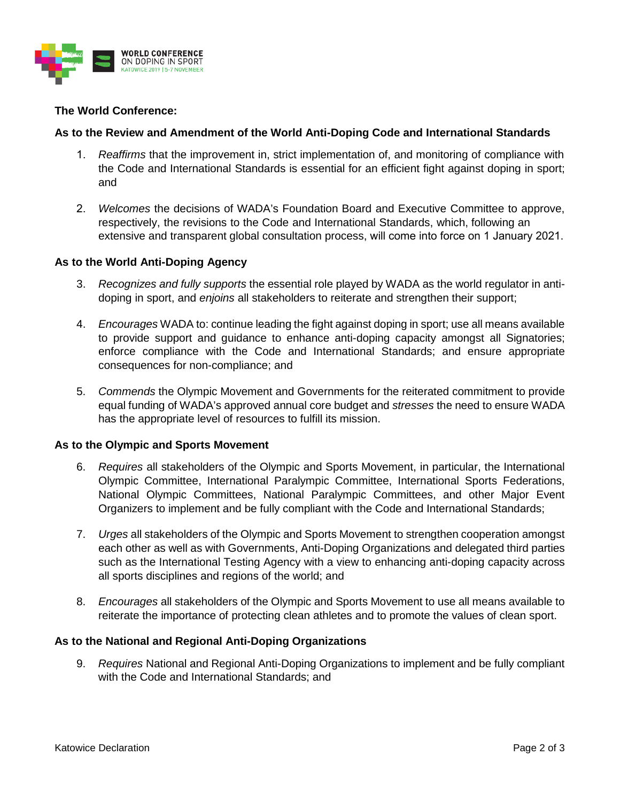

## **The World Conference:**

### **As to the Review and Amendment of the World Anti-Doping Code and International Standards**

- 1. *Reaffirms* that the improvement in, strict implementation of, and monitoring of compliance with the Code and International Standards is essential for an efficient fight against doping in sport; and
- 2. *Welcomes* the decisions of WADA's Foundation Board and Executive Committee to approve, respectively, the revisions to the Code and International Standards, which, following an extensive and transparent global consultation process, will come into force on 1 January 2021.

#### **As to the World Anti-Doping Agency**

- 3. *Recognizes and fully supports* the essential role played by WADA as the world regulator in antidoping in sport, and *enjoins* all stakeholders to reiterate and strengthen their support;
- 4. *Encourages* WADA to: continue leading the fight against doping in sport; use all means available to provide support and guidance to enhance anti-doping capacity amongst all Signatories; enforce compliance with the Code and International Standards; and ensure appropriate consequences for non-compliance; and
- 5. *Commends* the Olympic Movement and Governments for the reiterated commitment to provide equal funding of WADA's approved annual core budget and *stresses* the need to ensure WADA has the appropriate level of resources to fulfill its mission.

#### **As to the Olympic and Sports Movement**

- 6. *Requires* all stakeholders of the Olympic and Sports Movement, in particular, the International Olympic Committee, International Paralympic Committee, International Sports Federations, National Olympic Committees, National Paralympic Committees, and other Major Event Organizers to implement and be fully compliant with the Code and International Standards;
- 7. *Urges* all stakeholders of the Olympic and Sports Movement to strengthen cooperation amongst each other as well as with Governments, Anti-Doping Organizations and delegated third parties such as the International Testing Agency with a view to enhancing anti-doping capacity across all sports disciplines and regions of the world; and
- 8. *Encourages* all stakeholders of the Olympic and Sports Movement to use all means available to reiterate the importance of protecting clean athletes and to promote the values of clean sport.

#### **As to the National and Regional Anti-Doping Organizations**

9. *Requires* National and Regional Anti-Doping Organizations to implement and be fully compliant with the Code and International Standards; and